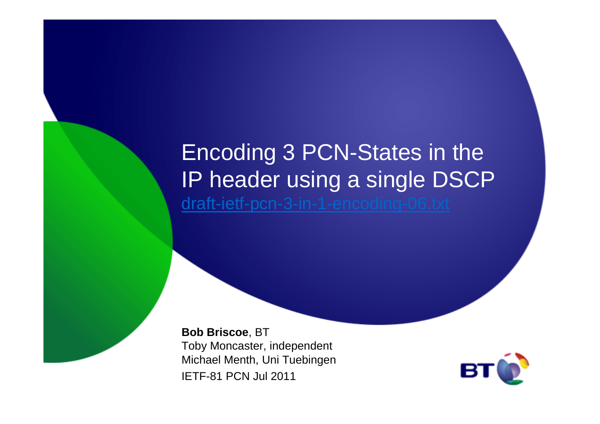## Encoding 3 PCN-States in the IP header using a single DSCPdraft-ietf-pcn-3-in-1-encoding-06.txt

**Bob Briscoe**, BT Toby Moncaster, independent Michael Menth, Uni TuebingenIETF-81 PCN Jul 2011

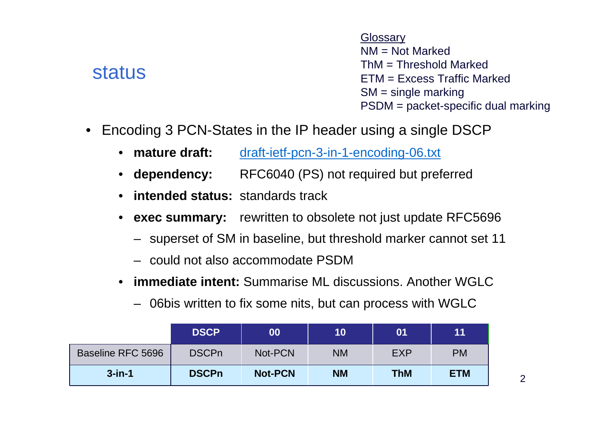#### status

**Glossarv**  NM = Not Marked $\mathsf{ThM} = \mathsf{Threshold}$  Marked ETM = Excess Traffic MarkedSM = single markingPSDM = packet-specific dual marking

- • Encoding 3 PCN-States in the IP header using a single DSCP
	- mature draft: draft-ietf-pcn-3-in-1-encoding-06.txt
	- dependency: RFC6040 (PS) not required but preferred
	- **intended status:** standards track
	- • **exec summary:** rewritten to obsolete not just update RFC5696
		- superset of SM in baseline, but threshold marker cannot set 11
		- could not also accommodate PSDM
	- **immediate intent:** Summarise ML discussions. Another WGLC $\bullet$ 
		- 06bis written to fix some nits, but can process with WGLC

|                   | <b>DSCP</b>  | 00             | 10        | 01         | 11         |
|-------------------|--------------|----------------|-----------|------------|------------|
| Baseline RFC 5696 | <b>DSCPn</b> | Not-PCN        | <b>NM</b> | <b>EXP</b> | <b>PM</b>  |
| $3$ -in-1         | <b>DSCPn</b> | <b>Not-PCN</b> | <b>NM</b> | <b>ThM</b> | <b>ETM</b> |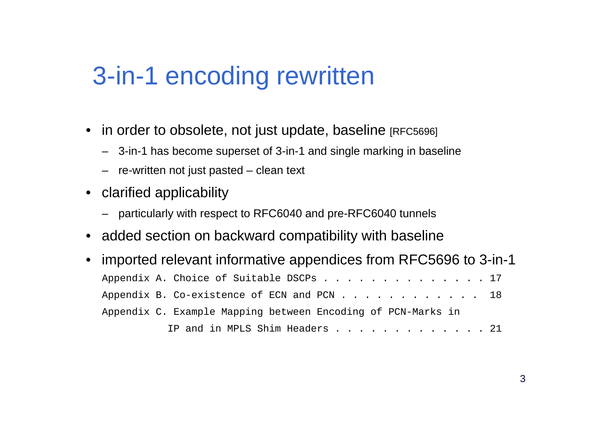## 3-in-1 encoding rewritten

- $\bullet~$  in order to obsolete, not just update, baseline  $_{\rm [RFC5696]}$ 
	- 3-in-1 has become superset of 3-in-1 and single marking in baseline
	- re-written not just pasted clean text
- clarified applicability
	- particularly with respect to RFC6040 and pre-RFC6040 tunnels
- added section on backward compatibility with baseline
- • imported relevant informative appendices from RFC5696 to 3-in-1Appendix A. Choice of Suitable DSCPs . . . . . . . . . . . . . 17 Appendix B. Co-existence of ECN and PCN . . . . . . . . . . . 18 Appendix C. Example Mapping between Encoding of PCN-Marks inIP and in MPLS Shim Headers . . . . . . . . . . . . 21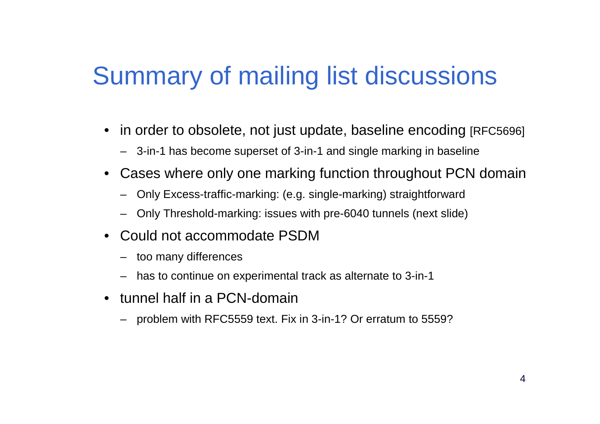# Summary of mailing list discussions

- in order to obsolete, not just update, baseline encoding [RFC5696]
	- 3-in-1 has become superset of 3-in-1 and single marking in baseline
- • Cases where only one marking function throughout PCN domain
	- Only Excess-traffic-marking: (e.g. single-marking) straightforward
	- Only Threshold-marking: issues with pre-6040 tunnels (next slide)
- Could not accommodate PSDM
	- too many differences
	- has to continue on experimental track as alternate to 3-in-1
- tunnel half in a PCN-domain
	- problem with RFC5559 text. Fix in 3-in-1? Or erratum to 5559?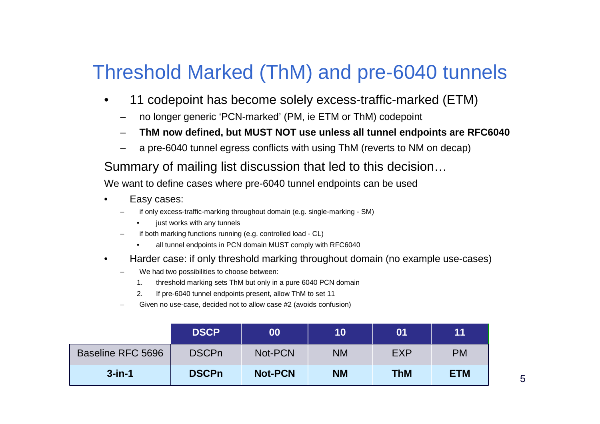#### Threshold Marked (ThM) and pre-6040 tunnels

- • 11 codepoint has become solely excess-traffic-marked (ETM)
	- no longer generic 'PCN-marked' (PM, ie ETM or ThM) codepoint
	- **ThM now defined, but MUST NOT use unless all tunnel endpoints are RFC6040**
	- a pre-6040 tunnel egress conflicts with using ThM (reverts to NM on decap)

#### Summary of mailing list discussion that led to this decision…

We want to define cases where pre-6040 tunnel endpoints can be used

- • Easy cases:
	- if only excess-traffic-marking throughout domain (e.g. single-marking SM)
		- •just works with any tunnels
	- if both marking functions running (e.g. controlled load CL)
		- •all tunnel endpoints in PCN domain MUST comply with RFC6040
- • Harder case: if only threshold marking throughout domain (no example use-cases)
	- We had two possibilities to choose between:
		- 1. threshold marking sets ThM but only in a pure 6040 PCN domain
		- 2. If pre-6040 tunnel endpoints present, allow ThM to set 11
	- Given no use-case, decided not to allow case #2 (avoids confusion)

|                   | <b>DSCP</b>  | 00             | 10        | 01         | 11         |
|-------------------|--------------|----------------|-----------|------------|------------|
| Baseline RFC 5696 | <b>DSCPn</b> | Not-PCN        | <b>NM</b> | <b>EXP</b> | <b>PM</b>  |
| $3$ -in-1         | <b>DSCPn</b> | <b>Not-PCN</b> | <b>NM</b> | <b>ThM</b> | <b>ETM</b> |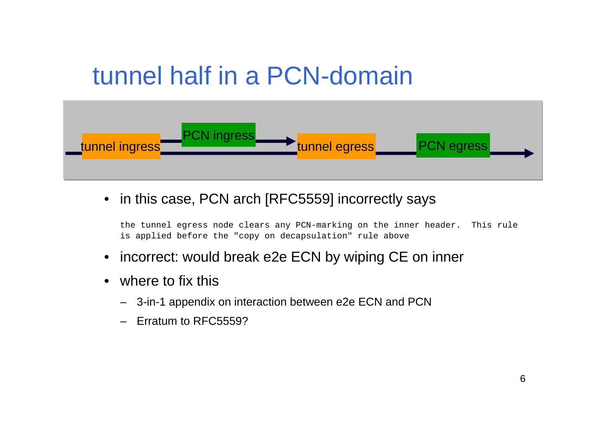# tunnel half in a PCN-domain



• in this case, PCN arch [RFC5559] incorrectly says

the tunnel egress node clears any PCN-marking on the inner header. This rule is applied before the "copy on decapsulation" rule above

- incorrect: would break e2e ECN by wiping CE on inner
- where to fix this
	- 3-in-1 appendix on interaction between e2e ECN and PCN
	- Erratum to RFC5559?